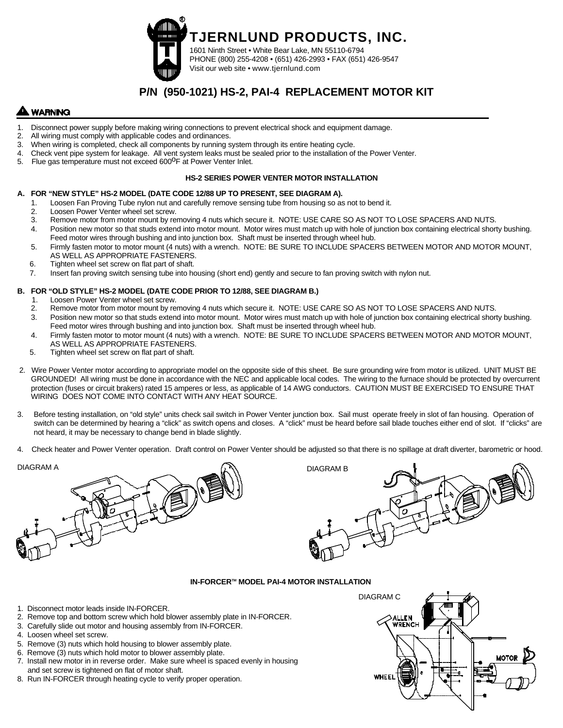

# **P/N (950-1021) HS-2, PAI-4 REPLACEMENT MOTOR KIT**

# **WARNING**

- 1. Disconnect power supply before making wiring connections to prevent electrical shock and equipment damage.<br>2. All wiring must comply with applicable codes and ordinances.
- All wiring must comply with applicable codes and ordinances.
- 3. When wiring is completed, check all components by running system through its entire heating cycle.<br>4. Check vent pipe system for leakage. All vent system leaks must be sealed prior to the installation of
	- 4. Check vent pipe system for leakage. All vent system leaks must be sealed prior to the installation of the Power Venter.
- 5. Flue gas temperature must not exceed 600<sup>o</sup>F at Power Venter Inlet.

#### **HS-2 SERIES POWER VENTER MOTOR INSTALLATION**

#### **A. FOR "NEW STYLE" HS-2 MODEL (DATE CODE 12/88 UP TO PRESENT, SEE DIAGRAM A).**

- 1. Loosen Fan Proving Tube nylon nut and carefully remove sensing tube from housing so as not to bend it.
- 2. Loosen Power Venter wheel set screw.
- 3. Remove motor from motor mount by removing 4 nuts which secure it. NOTE: USE CARE SO AS NOT TO LOSE SPACERS AND NUTS.
- 4. Position new motor so that studs extend into motor mount. Motor wires must match up with hole of junction box containing electrical shorty bushing. Feed motor wires through bushing and into junction box. Shaft must be inserted through wheel hub.
- 5. Firmly fasten motor to motor mount (4 nuts) with a wrench. NOTE: BE SURE TO INCLUDE SPACERS BETWEEN MOTOR AND MOTOR MOUNT, AS WELL AS APPROPRIATE FASTENERS.
- 6. Tighten wheel set screw on flat part of shaft.
- 7. Insert fan proving switch sensing tube into housing (short end) gently and secure to fan proving switch with nylon nut.

#### **B. FOR "OLD STYLE" HS-2 MODEL (DATE CODE PRIOR TO 12/88, SEE DIAGRAM B.)**

- 1. Loosen Power Venter wheel set screw.<br>2. Remove motor from motor mount by real
- Remove motor from motor mount by removing 4 nuts which secure it. NOTE: USE CARE SO AS NOT TO LOSE SPACERS AND NUTS.
- 3. Position new motor so that studs extend into motor mount. Motor wires must match up with hole of junction box containing electrical shorty bushing. Feed motor wires through bushing and into junction box. Shaft must be inserted through wheel hub.
- 4. Firmly fasten motor to motor mount (4 nuts) with a wrench. NOTE: BE SURE TO INCLUDE SPACERS BETWEEN MOTOR AND MOTOR MOUNT, AS WELL AS APPROPRIATE FASTENERS.
- 5. Tighten wheel set screw on flat part of shaft.
- 2. Wire Power Venter motor according to appropriate model on the opposite side of this sheet. Be sure grounding wire from motor is utilized. UNIT MUST BE GROUNDED! All wiring must be done in accordance with the NEC and applicable local codes. The wiring to the furnace should be protected by overcurrent protection (fuses or circuit brakers) rated 15 amperes or less, as applicable of 14 AWG conductors. CAUTION MUST BE EXERCISED TO ENSURE THAT WIRING DOES NOT COME INTO CONTACT WITH ANY HEAT SOURCE.
- 3. Before testing installation, on "old style" units check sail switch in Power Venter junction box. Sail must operate freely in slot of fan housing. Operation of switch can be determined by hearing a "click" as switch opens and closes. A "click" must be heard before sail blade touches either end of slot. If "clicks" are not heard, it may be necessary to change bend in blade slightly.
- 4. Check heater and Power Venter operation. Draft control on Power Venter should be adjusted so that there is no spillage at draft diverter, barometric or hood.

# DIAGRAM A DIAGRAM B

#### **IN-FORCERTM MODEL PAI-4 MOTOR INSTALLATION**

- 1. Disconnect motor leads inside IN-FORCER.
- 2. Remove top and bottom screw which hold blower assembly plate in IN-FORCER.
- 3. Carefully slide out motor and housing assembly from IN-FORCER.
- 4. Loosen wheel set screw.
- 5. Remove (3) nuts which hold housing to blower assembly plate.
- 6. Remove (3) nuts which hold motor to blower assembly plate.
- 7. Install new motor in in reverse order. Make sure wheel is spaced evenly in housing and set screw is tightened on flat of motor shaft.
- 8. Run IN-FORCER through heating cycle to verify proper operation.